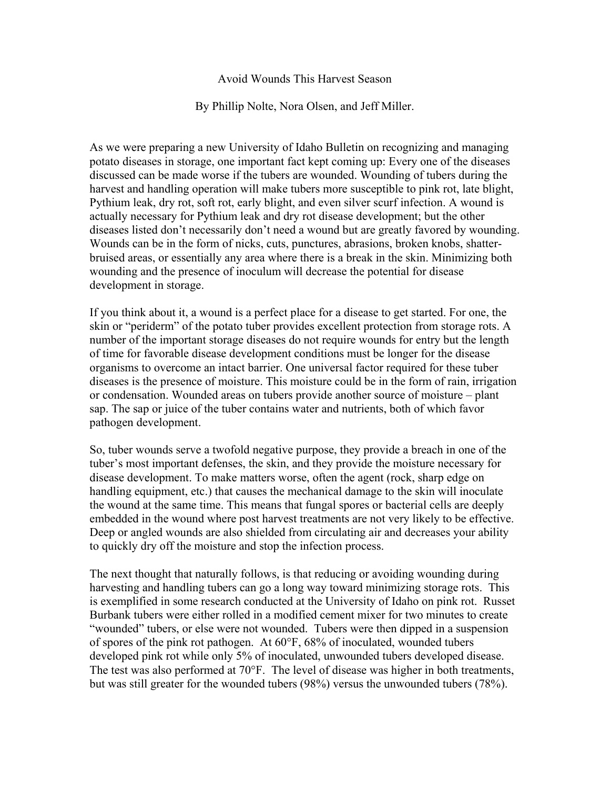## Avoid Wounds This Harvest Season

By Phillip Nolte, Nora Olsen, and Jeff Miller.

As we were preparing a new University of Idaho Bulletin on recognizing and managing potato diseases in storage, one important fact kept coming up: Every one of the diseases discussed can be made worse if the tubers are wounded. Wounding of tubers during the harvest and handling operation will make tubers more susceptible to pink rot, late blight, Pythium leak, dry rot, soft rot, early blight, and even silver scurf infection. A wound is actually necessary for Pythium leak and dry rot disease development; but the other diseases listed don't necessarily don't need a wound but are greatly favored by wounding. Wounds can be in the form of nicks, cuts, punctures, abrasions, broken knobs, shatterbruised areas, or essentially any area where there is a break in the skin. Minimizing both wounding and the presence of inoculum will decrease the potential for disease development in storage.

If you think about it, a wound is a perfect place for a disease to get started. For one, the skin or "periderm" of the potato tuber provides excellent protection from storage rots. A number of the important storage diseases do not require wounds for entry but the length of time for favorable disease development conditions must be longer for the disease organisms to overcome an intact barrier. One universal factor required for these tuber diseases is the presence of moisture. This moisture could be in the form of rain, irrigation or condensation. Wounded areas on tubers provide another source of moisture – plant sap. The sap or juice of the tuber contains water and nutrients, both of which favor pathogen development.

So, tuber wounds serve a twofold negative purpose, they provide a breach in one of the tuber's most important defenses, the skin, and they provide the moisture necessary for disease development. To make matters worse, often the agent (rock, sharp edge on handling equipment, etc.) that causes the mechanical damage to the skin will inoculate the wound at the same time. This means that fungal spores or bacterial cells are deeply embedded in the wound where post harvest treatments are not very likely to be effective. Deep or angled wounds are also shielded from circulating air and decreases your ability to quickly dry off the moisture and stop the infection process.

The next thought that naturally follows, is that reducing or avoiding wounding during harvesting and handling tubers can go a long way toward minimizing storage rots. This is exemplified in some research conducted at the University of Idaho on pink rot. Russet Burbank tubers were either rolled in a modified cement mixer for two minutes to create "wounded" tubers, or else were not wounded. Tubers were then dipped in a suspension of spores of the pink rot pathogen. At 60°F, 68% of inoculated, wounded tubers developed pink rot while only 5% of inoculated, unwounded tubers developed disease. The test was also performed at 70°F. The level of disease was higher in both treatments, but was still greater for the wounded tubers (98%) versus the unwounded tubers (78%).